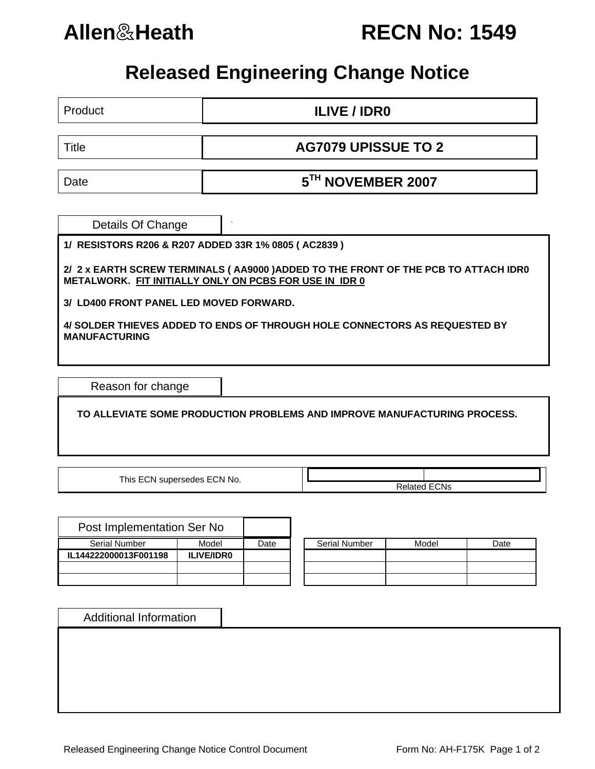

**Allen**&**Heath RECN No: 1549**

## **Released Engineering Change Notice**

Product **ILIVE / IDR0** Title **AG7079 UPISSUE TO 2** 

Date **5TH NOVEMBER 2007** 

Details Of Change

**1/ RESISTORS R206 & R207 ADDED 33R 1% 0805 ( AC2839 )**

**2/ 2 x EARTH SCREW TERMINALS ( AA9000 )ADDED TO THE FRONT OF THE PCB TO ATTACH IDR0 METALWORK. FIT INITIALLY ONLY ON PCBS FOR USE IN IDR 0** 

**3/ LD400 FRONT PANEL LED MOVED FORWARD.** 

**4/ SOLDER THIEVES ADDED TO ENDS OF THROUGH HOLE CONNECTORS AS REQUESTED BY MANUFACTURING** 

Reason for change

 **TO ALLEVIATE SOME PRODUCTION PROBLEMS AND IMPROVE MANUFACTURING PROCESS.** 

This ECN supersedes ECN No.  $\overline{\qquad}$  Related ECNs

| Post Implementation Ser No |                   |      |                      |
|----------------------------|-------------------|------|----------------------|
| <b>Serial Number</b>       | Model             | Date | <b>Serial Number</b> |
| IL144222000013F001198      | <b>ILIVE/IDRO</b> |      |                      |
|                            |                   |      |                      |
|                            |                   |      |                      |

| Serial Number | Model | Date |  |  |
|---------------|-------|------|--|--|
|               |       |      |  |  |
|               |       |      |  |  |
|               |       |      |  |  |
|               |       |      |  |  |
|               |       |      |  |  |
|               |       |      |  |  |

Additional Information